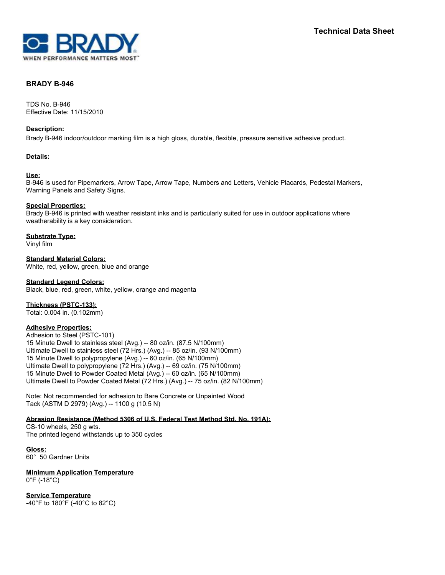

# **BRADY B-946**

TDS No. B-946 Effective Date: 11/15/2010

#### **Description:**

Brady B-946 indoor/outdoor marking film is a high gloss, durable, flexible, pressure sensitive adhesive product.

# **Details:**

# **Use:**

B-946 is used for Pipemarkers, Arrow Tape, Arrow Tape, Numbers and Letters, Vehicle Placards, Pedestal Markers, Warning Panels and Safety Signs.

# **Special Properties:**

Brady B-946 is printed with weather resistant inks and is particularly suited for use in outdoor applications where weatherability is a key consideration.

# **Substrate Type:**

Vinyl film

**Standard Material Colors:** White, red, yellow, green, blue and orange

# **Standard Legend Colors:**

Black, blue, red, green, white, yellow, orange and magenta

#### **Thickness (PSTC-133):**

Total: 0.004 in. (0.102mm)

# **Adhesive Properties:**

Adhesion to Steel (PSTC-101) 15 Minute Dwell to stainless steel (Avg.) -- 80 oz/in. (87.5 N/100mm) Ultimate Dwell to stainless steel (72 Hrs.) (Avg.) -- 85 oz/in. (93 N/100mm) 15 Minute Dwell to polypropylene (Avg.) -- 60 oz/in. (65 N/100mm) Ultimate Dwell to polypropylene (72 Hrs.) (Avg.) -- 69 oz/in. (75 N/100mm) 15 Minute Dwell to Powder Coated Metal (Avg.) -- 60 oz/in. (65 N/100mm) Ultimate Dwell to Powder Coated Metal (72 Hrs.) (Avg.) -- 75 oz/in. (82 N/100mm)

Note: Not recommended for adhesion to Bare Concrete or Unpainted Wood Tack (ASTM D 2979) (Avg.) -- 1100 g (10.5 N)

# **Abrasion Resistance (Method 5306 of U.S. Federal Test Method Std. No. 191A):**

CS-10 wheels, 250 g wts. The printed legend withstands up to 350 cycles

**Gloss:** 60° 50 Gardner Units

**Minimum Application Temperature** 0°F (-18°C)

**Service Temperature** -40°F to 180°F (-40°C to 82°C)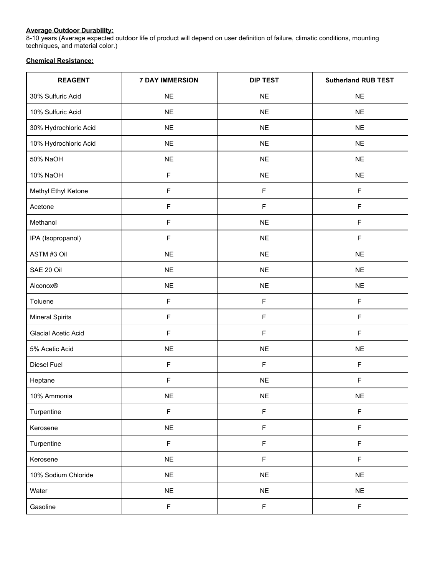# **Average Outdoor Durability:**

8-10 years (Average expected outdoor life of product will depend on user definition of failure, climatic conditions, mounting techniques, and material color.)

# **Chemical Resistance:**

| <b>REAGENT</b>         | <b>7 DAY IMMERSION</b> | <b>DIP TEST</b> | <b>Sutherland RUB TEST</b> |
|------------------------|------------------------|-----------------|----------------------------|
| 30% Sulfuric Acid      | <b>NE</b>              | <b>NE</b>       | <b>NE</b>                  |
| 10% Sulfuric Acid      | <b>NE</b>              | <b>NE</b>       | <b>NE</b>                  |
| 30% Hydrochloric Acid  | <b>NE</b>              | $NE$            | <b>NE</b>                  |
| 10% Hydrochloric Acid  | $NE$                   | <b>NE</b>       | $NE$                       |
| 50% NaOH               | $NE$                   | <b>NE</b>       | <b>NE</b>                  |
| 10% NaOH               | F                      | <b>NE</b>       | <b>NE</b>                  |
| Methyl Ethyl Ketone    | $\mathsf F$            | $\mathsf F$     | F                          |
| Acetone                | $\mathsf F$            | $\mathsf F$     | F                          |
| Methanol               | $\mathsf F$            | <b>NE</b>       | F                          |
| IPA (Isopropanol)      | F                      | $NE$            | F                          |
| ASTM #3 Oil            | $NE$                   | <b>NE</b>       | <b>NE</b>                  |
| SAE 20 Oil             | $NE$                   | <b>NE</b>       | $NE$                       |
| Alconox®               | $NE$                   | <b>NE</b>       | <b>NE</b>                  |
| Toluene                | F                      | $\mathsf F$     | F                          |
| <b>Mineral Spirits</b> | $\mathsf F$            | $\mathsf F$     | F                          |
| Glacial Acetic Acid    | $\mathsf F$            | $\mathsf F$     | F                          |
| 5% Acetic Acid         | $\sf NE$               | $NE$            | <b>NE</b>                  |
| Diesel Fuel            | F                      | $\mathsf F$     | F                          |
| Heptane                | F                      | <b>NE</b>       | F                          |
| 10% Ammonia            | $\sf NE$               | $N\mathsf{E}$   | $N\mathsf{E}$              |
| Turpentine             | $\mathsf F$            | $\mathsf F$     | $\mathsf F$                |
| Kerosene               | $NE$                   | $\mathsf F$     | F                          |
| Turpentine             | $\mathsf F$            | $\mathsf F$     | F                          |
| Kerosene               | <b>NE</b>              | $\mathsf F$     | F                          |
| 10% Sodium Chloride    | $NE$                   | <b>NE</b>       | $N\mathsf{E}$              |
| Water                  | <b>NE</b>              | $NE$            | <b>NE</b>                  |
| Gasoline               | $\mathsf F$            | $\mathsf F$     | F                          |